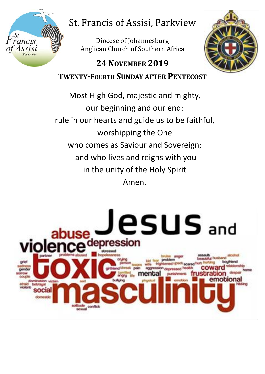

# St. Francis of Assisi, Parkview

 $\overline{a}$ Diocese of Johannesburg Anglican Church of Southern Africa



# **24NOVEMBER 2019 TWENTY-FOURTH SUNDAY AFTER PENTECOST**

Most High God, majestic and mighty, our beginning and our end: rule in our hearts and guide us to be faithful, worshipping the One who comes as Saviour and Sovereign; and who lives and reigns with you in the unity of the Holy Spirit Amen.

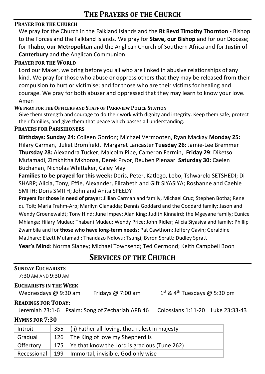#### **PRAYER FOR THE CHURCH**

We pray for the Church in the Falkland Islands and the **Rt Revd Timothy Thornton** - Bishop to the Forces and the Falkland Islands. We pray for **Steve, our Bishop** and for our Diocese; for **Thabo, our Metropolitan** and the Anglican Church of Southern Africa and for **Justin of Canterbury** and the Anglican Communion.

#### **PRAYER FOR THE WORLD**

Lord our Maker, we bring before you all who are linked in abusive relationships of any kind. We pray for those who abuse or oppress others that they may be released from their compulsion to hurt or victimise; and for those who are their victims for healing and courage. We pray for both abuser and oppressed that they may learn to know your love. Amen

#### **WE PRAY FOR THE OFFICERS AND STAFF OF PARKVIEW POLICE STATION**

Give them strength and courage to do their work with dignity and integrity. Keep them safe, protect their families, and give them that peace which passes all understanding.

#### **PRAYERS FOR PARISHIONERS**

**Birthdays: Sunday 24:** Colleen Gordon; Michael Vermooten, Ryan Mackay **Monday 25:** Hilary Carman, Juliet Bromfield, Margaret Lancaster **Tuesday 26**: Jamie-Lee Bremmer **Thursday 28:** Alexandra Tucker, Malcolm Pipe, Cameron Fermin, **Friday 29**: Diketso Mufamadi, Zimkhitha Mkhonza, Derek Pryor, Reuben Pienaar **Saturday 30:** Caelen Buchanan, Nicholas Whittaker, Caley May

**Families to be prayed for this week:** Doris, Peter, Katlego, Lebo, Tshwarelo SETSHEDI; Di SHARP; Alicia, Tony, Effie, Alexander, Elizabeth and Gift SIYASIYA; Roshanne and Caehle SMITH; Doris SMITH; John and Anita SPEEDY

**Prayers for those in need of prayer:** Jillian Carman and family, Michael Cruz; Stephen Botha; Rene du Toit; Maria Frahm-Arp; Marilyn Gianadda; Dennis Goddard and the Goddard family; Jason and Wendy Groenewaldt; Tony Hind; June Impey; Alan King; Judith Kinnaird; the Mgeyane family; Eunice Mhlanga; Hilary Mudau; Thabani Mudau; Wendy Price; John Ridler; Alicia Siyasiya and family; Phillip Zwambila and for **those who have long-term needs:** Pat Cawthorn; Jeffery Gavin; Geraldine Matlhare; Elzett Mufamadi; Thandazo Ndlovu; Tsungi, Byron Spratt; Dudley Spratt **Year's Mind**: Norma Slaney; Michael Townsend; Ted Germond; Keith Campbell Boon

## **SERVICES OF THE CHURCH**

| <b>SUNDAY EUCHARISTS</b> |  |
|--------------------------|--|
|--------------------------|--|

7:30 AM AND 9:30 AM

#### **EUCHARISTS IN THE WEEK**

Wednesdays @ 9:30 am Fridays @ 7:00 am 1

 $1<sup>st</sup>$  & 4<sup>th</sup> Tuesdays @ 5:30 pm

#### **READINGS FOR TODAY:**

Jeremiah 23:1-6 Psalm: Song of Zechariah APB 46 Colossians 1:11-20 Luke 23:33-43

#### **HYMNS FOR 7:30**

| Introit     |     | 355   (ii) Father all-loving, thou rulest in majesty |
|-------------|-----|------------------------------------------------------|
| Gradual     |     | 126 The King of love my Shepherd is                  |
| Offertory   |     | 175   Ye that know the Lord is gracious (Tune 262)   |
| Recessional | 199 | Immortal, invisible, God only wise                   |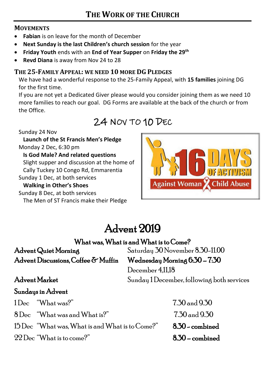#### **MOVEMENTS**

- **Fabian** is on leave for the month of December
- **Next Sunday is the last Children's church session** for the year
- **Friday Youth** ends with an **End of Year Supper** on **Friday the 29th**
- **Revd Diana** is away from Nov 24 to 28

### **THE 25-FAMILY APPEAL: WE NEED 10 MORE DG PLEDGES**

We have had a wonderful response to the 25-Family Appeal, with **15 families** joining DG for the first time.

If you are not yet a Dedicated Giver please would you consider joining them as we need 10 more families to reach our goal. DG Forms are available at the back of the church or from the Office.

# 24 NOV TO 10 DEC

Sunday 24 Nov

**Launch of the St Francis Men's Pledge** Monday 2 Dec, 6:30 pm **Is God Male? And related questions** Slight supper and discussion at the home of Cally Tuckey 10 Congo Rd, Emmarentia

Sunday 1 Dec, at both services

#### **Walking in Other's Shoes**

Sunday 8 Dec, at both services The Men of ST Francis make their Pledge



# Advent 2019

## What was, What is and What is to Come?

Advent Quiet Morning Saturday 30 November 8.30-11.00 Advent Discussions, Coffee & Muffin Wednesday Morning 6:30 - 7:30

December 4,11,18 Advent Market Sunday 1 December, following both services

## Sundays in Advent

 $1 \text{D}_{\text{ec}}$  "What was?"  $7.30 \text{ and } 9.30$ 

 $8$  Dec "What was and What is?"  $7.30$  and  $9.30$ 

 $15\,\text{Dec}$  "What was, What is and What is to Come?" 8.30 - combined

 $22$  Dec "What is to come?"  $8.30$  – combined